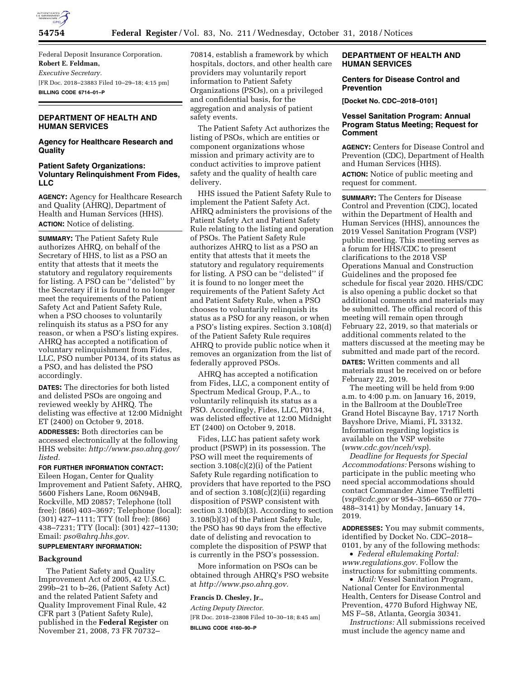

Federal Deposit Insurance Corporation. **Robert E. Feldman,**  *Executive Secretary.*  [FR Doc. 2018–23883 Filed 10–29–18; 4:15 pm] **BILLING CODE 6714–01–P** 

# **DEPARTMENT OF HEALTH AND HUMAN SERVICES**

## **Agency for Healthcare Research and Quality**

### **Patient Safety Organizations: Voluntary Relinquishment From Fides, LLC**

**AGENCY:** Agency for Healthcare Research and Quality (AHRQ), Department of Health and Human Services (HHS). **ACTION:** Notice of delisting.

**SUMMARY:** The Patient Safety Rule authorizes AHRQ, on behalf of the Secretary of HHS, to list as a PSO an entity that attests that it meets the statutory and regulatory requirements for listing. A PSO can be ''delisted'' by the Secretary if it is found to no longer meet the requirements of the Patient Safety Act and Patient Safety Rule, when a PSO chooses to voluntarily relinquish its status as a PSO for any reason, or when a PSO's listing expires. AHRQ has accepted a notification of voluntary relinquishment from Fides, LLC, PSO number P0134, of its status as a PSO, and has delisted the PSO accordingly.

**DATES:** The directories for both listed and delisted PSOs are ongoing and reviewed weekly by AHRQ. The delisting was effective at 12:00 Midnight ET (2400) on October 9, 2018.

**ADDRESSES:** Both directories can be accessed electronically at the following HHS website: *[http://www.pso.ahrq.gov/](http://www.pso.ahrq.gov/listed) [listed.](http://www.pso.ahrq.gov/listed)* 

# **FOR FURTHER INFORMATION CONTACT:**

Eileen Hogan, Center for Quality Improvement and Patient Safety, AHRQ, 5600 Fishers Lane, Room 06N94B, Rockville, MD 20857; Telephone (toll free): (866) 403–3697; Telephone (local): (301) 427–1111; TTY (toll free): (866) 438–7231; TTY (local): (301) 427–1130; Email: *[pso@ahrq.hhs.gov.](mailto:pso@ahrq.hhs.gov)* 

# **SUPPLEMENTARY INFORMATION:**

## **Background**

The Patient Safety and Quality Improvement Act of 2005, 42 U.S.C. 299b–21 to b–26, (Patient Safety Act) and the related Patient Safety and Quality Improvement Final Rule, 42 CFR part 3 (Patient Safety Rule), published in the **Federal Register** on November 21, 2008, 73 FR 70732–

70814, establish a framework by which hospitals, doctors, and other health care providers may voluntarily report information to Patient Safety Organizations (PSOs), on a privileged and confidential basis, for the aggregation and analysis of patient safety events.

The Patient Safety Act authorizes the listing of PSOs, which are entities or component organizations whose mission and primary activity are to conduct activities to improve patient safety and the quality of health care delivery.

HHS issued the Patient Safety Rule to implement the Patient Safety Act. AHRQ administers the provisions of the Patient Safety Act and Patient Safety Rule relating to the listing and operation of PSOs. The Patient Safety Rule authorizes AHRQ to list as a PSO an entity that attests that it meets the statutory and regulatory requirements for listing. A PSO can be ''delisted'' if it is found to no longer meet the requirements of the Patient Safety Act and Patient Safety Rule, when a PSO chooses to voluntarily relinquish its status as a PSO for any reason, or when a PSO's listing expires. Section 3.108(d) of the Patient Safety Rule requires AHRQ to provide public notice when it removes an organization from the list of federally approved PSOs.

AHRQ has accepted a notification from Fides, LLC, a component entity of Spectrum Medical Group, P.A., to voluntarily relinquish its status as a PSO. Accordingly, Fides, LLC, P0134, was delisted effective at 12:00 Midnight ET (2400) on October 9, 2018.

Fides, LLC has patient safety work product (PSWP) in its possession. The PSO will meet the requirements of section 3.108(c)(2)(i) of the Patient Safety Rule regarding notification to providers that have reported to the PSO and of section 3.108(c)(2)(ii) regarding disposition of PSWP consistent with section 3.108(b)(3). According to section 3.108(b)(3) of the Patient Safety Rule, the PSO has 90 days from the effective date of delisting and revocation to complete the disposition of PSWP that is currently in the PSO's possession.

More information on PSOs can be obtained through AHRQ's PSO website at *[http://www.pso.ahrq.gov.](http://www.pso.ahrq.gov)* 

## **Francis D. Chesley, Jr.,**

*Acting Deputy Director.*  [FR Doc. 2018–23808 Filed 10–30–18; 8:45 am] **BILLING CODE 4160–90–P** 

## **DEPARTMENT OF HEALTH AND HUMAN SERVICES**

### **Centers for Disease Control and Prevention**

**[Docket No. CDC–2018–0101]** 

## **Vessel Sanitation Program: Annual Program Status Meeting; Request for Comment**

**AGENCY:** Centers for Disease Control and Prevention (CDC), Department of Health and Human Services (HHS).

**ACTION:** Notice of public meeting and request for comment.

**SUMMARY:** The Centers for Disease Control and Prevention (CDC), located within the Department of Health and Human Services (HHS), announces the 2019 Vessel Sanitation Program (VSP) public meeting. This meeting serves as a forum for HHS/CDC to present clarifications to the 2018 VSP Operations Manual and Construction Guidelines and the proposed fee schedule for fiscal year 2020. HHS/CDC is also opening a public docket so that additional comments and materials may be submitted. The official record of this meeting will remain open through February 22, 2019, so that materials or additional comments related to the matters discussed at the meeting may be submitted and made part of the record.

**DATES:** Written comments and all materials must be received on or before February 22, 2019.

The meeting will be held from 9:00 a.m. to 4:00 p.m. on January 16, 2019, in the Ballroom at the DoubleTree Grand Hotel Biscayne Bay, 1717 North Bayshore Drive, Miami, FL 33132. Information regarding logistics is available on the VSP website (*[www.cdc.gov/nceh/vsp](http://www.cdc.gov/nceh/vsp)*).

*Deadline for Requests for Special Accommodations:* Persons wishing to participate in the public meeting who need special accommodations should contact Commander Aimee Treffiletti (*[vsp@cdc.gov](mailto:vsp@cdc.gov)* or 954–356–6650 or 770– 488–3141) by Monday, January 14, 2019.

**ADDRESSES:** You may submit comments, identified by Docket No. CDC–2018– 0101, by any of the following methods:

• *Federal eRulemaking Portal: [www.regulations.gov.](http://www.regulations.gov)* Follow the instructions for submitting comments.

• *Mail:* Vessel Sanitation Program, National Center for Environmental Health, Centers for Disease Control and Prevention, 4770 Buford Highway NE, MS F–58, Atlanta, Georgia 30341.

*Instructions:* All submissions received must include the agency name and